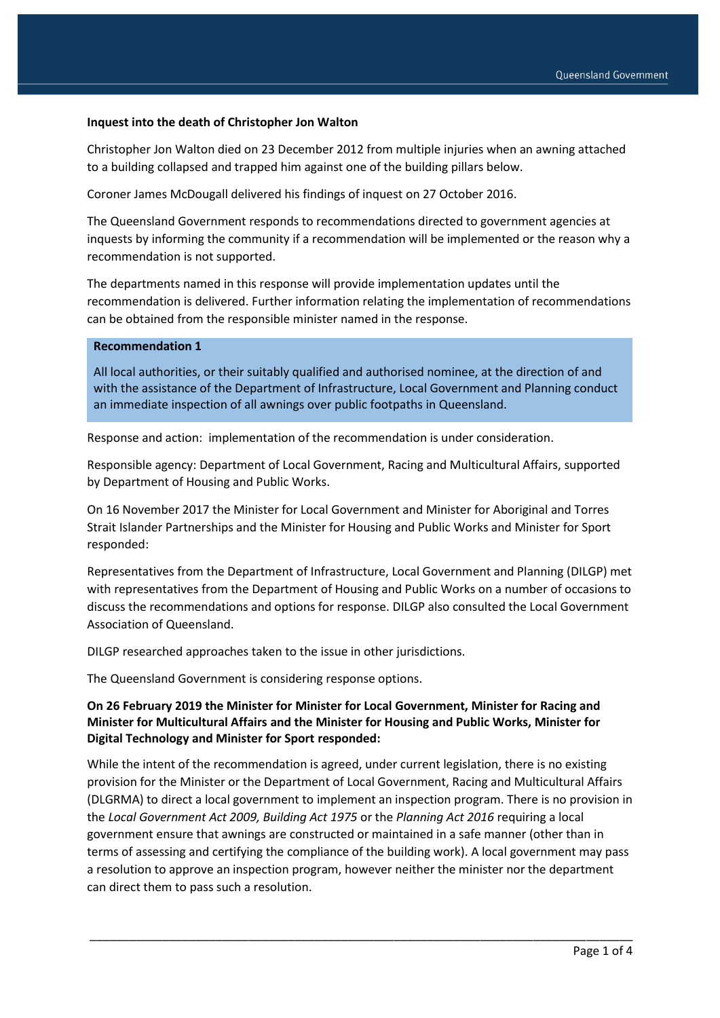### **Inquest into the death of Christopher Jon Walton**

Christopher Jon Walton died on 23 December 2012 from multiple injuries when an awning attached to a building collapsed and trapped him against one of the building pillars below.

Coroner James McDougall delivered his findings of inquest on 27 October 2016.

The Queensland Government responds to recommendations directed to government agencies at inquests by informing the community if a recommendation will be implemented or the reason why a recommendation is not supported.

The departments named in this response will provide implementation updates until the recommendation is delivered. Further information relating the implementation of recommendations can be obtained from the responsible minister named in the response.

#### **Recommendation 1**

All local authorities, or their suitably qualified and authorised nominee, at the direction of and with the assistance of the Department of Infrastructure, Local Government and Planning conduct an immediate inspection of all awnings over public footpaths in Queensland.

Response and action: implementation of the recommendation is under consideration.

Responsible agency: Department of Local Government, Racing and Multicultural Affairs, supported by Department of Housing and Public Works.

On 16 November 2017 the Minister for Local Government and Minister for Aboriginal and Torres Strait Islander Partnerships and the Minister for Housing and Public Works and Minister for Sport responded:

Representatives from the Department of Infrastructure, Local Government and Planning (DILGP) met with representatives from the Department of Housing and Public Works on a number of occasions to discuss the recommendations and options for response. DILGP also consulted the Local Government Association of Queensland.

DILGP researched approaches taken to the issue in other jurisdictions.

The Queensland Government is considering response options.

### **On 26 February 2019 the Minister for Minister for Local Government, Minister for Racing and Minister for Multicultural Affairs and the Minister for Housing and Public Works, Minister for Digital Technology and Minister for Sport responded:**

While the intent of the recommendation is agreed, under current legislation, there is no existing provision for the Minister or the Department of Local Government, Racing and Multicultural Affairs (DLGRMA) to direct a local government to implement an inspection program. There is no provision in the *Local Government Act 2009, Building Act 1975* or the *Planning Act 2016* requiring a local government ensure that awnings are constructed or maintained in a safe manner (other than in terms of assessing and certifying the compliance of the building work). A local government may pass a resolution to approve an inspection program, however neither the minister nor the department can direct them to pass such a resolution.

\_\_\_\_\_\_\_\_\_\_\_\_\_\_\_\_\_\_\_\_\_\_\_\_\_\_\_\_\_\_\_\_\_\_\_\_\_\_\_\_\_\_\_\_\_\_\_\_\_\_\_\_\_\_\_\_\_\_\_\_\_\_\_\_\_\_\_\_\_\_\_\_\_\_\_\_\_\_\_\_\_\_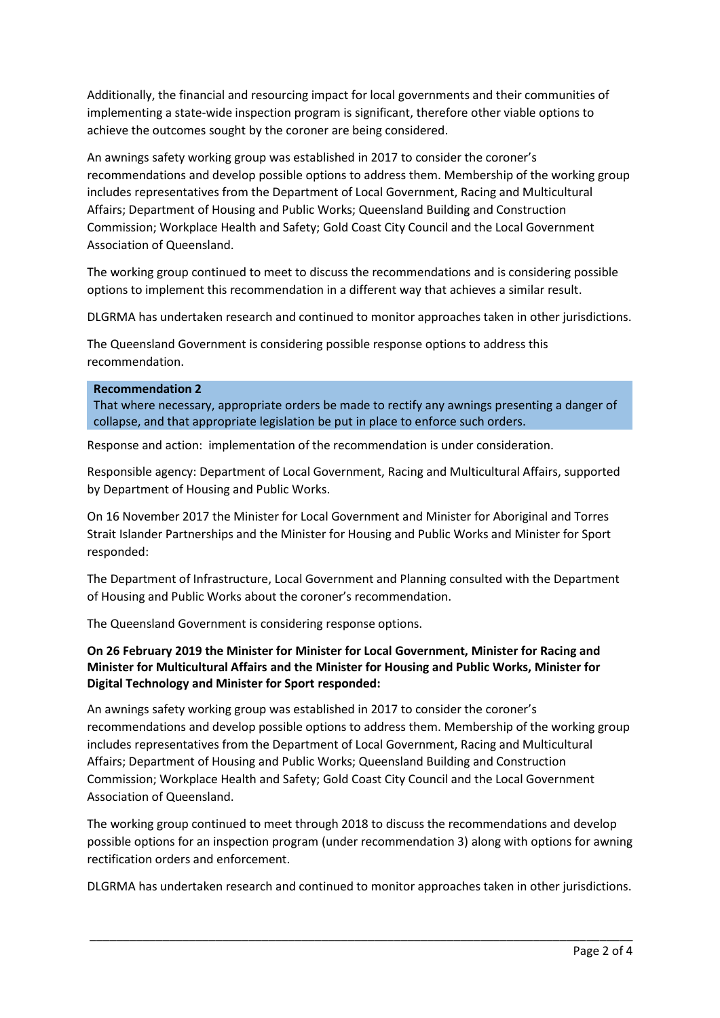Additionally, the financial and resourcing impact for local governments and their communities of implementing a state-wide inspection program is significant, therefore other viable options to achieve the outcomes sought by the coroner are being considered.

An awnings safety working group was established in 2017 to consider the coroner's recommendations and develop possible options to address them. Membership of the working group includes representatives from the Department of Local Government, Racing and Multicultural Affairs; Department of Housing and Public Works; Queensland Building and Construction Commission; Workplace Health and Safety; Gold Coast City Council and the Local Government Association of Queensland.

The working group continued to meet to discuss the recommendations and is considering possible options to implement this recommendation in a different way that achieves a similar result.

DLGRMA has undertaken research and continued to monitor approaches taken in other jurisdictions.

The Queensland Government is considering possible response options to address this recommendation.

#### **Recommendation 2**

That where necessary, appropriate orders be made to rectify any awnings presenting a danger of collapse, and that appropriate legislation be put in place to enforce such orders.

Response and action: implementation of the recommendation is under consideration.

Responsible agency: Department of Local Government, Racing and Multicultural Affairs, supported by Department of Housing and Public Works.

On 16 November 2017 the Minister for Local Government and Minister for Aboriginal and Torres Strait Islander Partnerships and the Minister for Housing and Public Works and Minister for Sport responded:

The Department of Infrastructure, Local Government and Planning consulted with the Department of Housing and Public Works about the coroner's recommendation.

The Queensland Government is considering response options.

# **On 26 February 2019 the Minister for Minister for Local Government, Minister for Racing and Minister for Multicultural Affairs and the Minister for Housing and Public Works, Minister for Digital Technology and Minister for Sport responded:**

An awnings safety working group was established in 2017 to consider the coroner's recommendations and develop possible options to address them. Membership of the working group includes representatives from the Department of Local Government, Racing and Multicultural Affairs; Department of Housing and Public Works; Queensland Building and Construction Commission; Workplace Health and Safety; Gold Coast City Council and the Local Government Association of Queensland.

The working group continued to meet through 2018 to discuss the recommendations and develop possible options for an inspection program (under recommendation 3) along with options for awning rectification orders and enforcement.

DLGRMA has undertaken research and continued to monitor approaches taken in other jurisdictions.

\_\_\_\_\_\_\_\_\_\_\_\_\_\_\_\_\_\_\_\_\_\_\_\_\_\_\_\_\_\_\_\_\_\_\_\_\_\_\_\_\_\_\_\_\_\_\_\_\_\_\_\_\_\_\_\_\_\_\_\_\_\_\_\_\_\_\_\_\_\_\_\_\_\_\_\_\_\_\_\_\_\_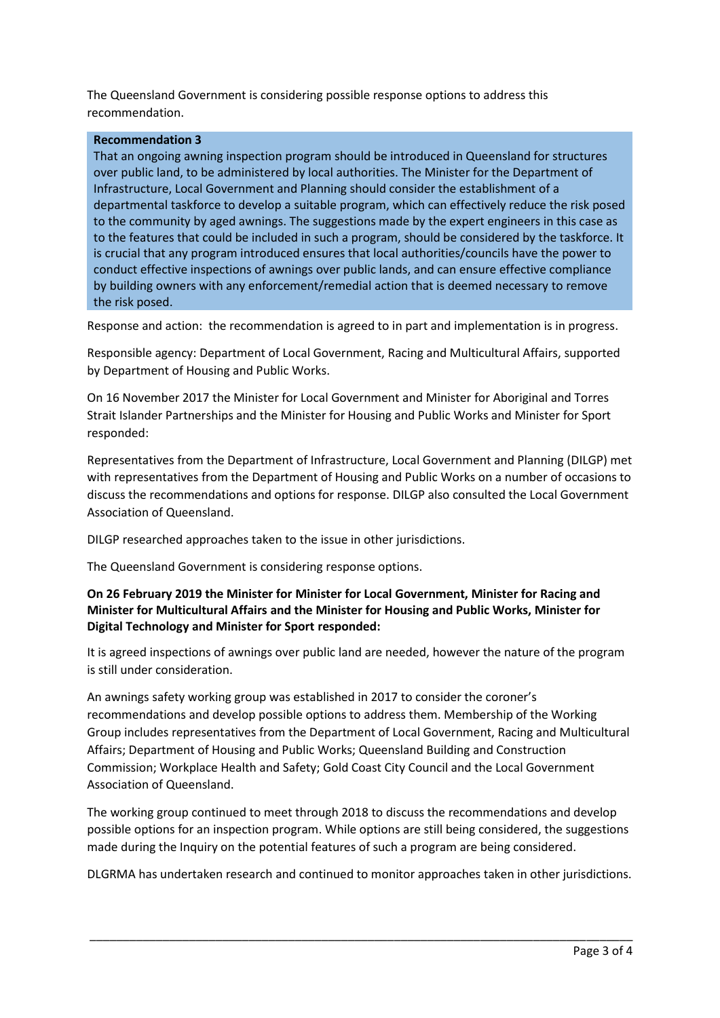The Queensland Government is considering possible response options to address this recommendation.

### **Recommendation 3**

That an ongoing awning inspection program should be introduced in Queensland for structures over public land, to be administered by local authorities. The Minister for the Department of Infrastructure, Local Government and Planning should consider the establishment of a departmental taskforce to develop a suitable program, which can effectively reduce the risk posed to the community by aged awnings. The suggestions made by the expert engineers in this case as to the features that could be included in such a program, should be considered by the taskforce. It is crucial that any program introduced ensures that local authorities/councils have the power to conduct effective inspections of awnings over public lands, and can ensure effective compliance by building owners with any enforcement/remedial action that is deemed necessary to remove the risk posed.

Response and action: the recommendation is agreed to in part and implementation is in progress.

Responsible agency: Department of Local Government, Racing and Multicultural Affairs, supported by Department of Housing and Public Works.

On 16 November 2017 the Minister for Local Government and Minister for Aboriginal and Torres Strait Islander Partnerships and the Minister for Housing and Public Works and Minister for Sport responded:

Representatives from the Department of Infrastructure, Local Government and Planning (DILGP) met with representatives from the Department of Housing and Public Works on a number of occasions to discuss the recommendations and options for response. DILGP also consulted the Local Government Association of Queensland.

DILGP researched approaches taken to the issue in other jurisdictions.

The Queensland Government is considering response options.

# **On 26 February 2019 the Minister for Minister for Local Government, Minister for Racing and Minister for Multicultural Affairs and the Minister for Housing and Public Works, Minister for Digital Technology and Minister for Sport responded:**

It is agreed inspections of awnings over public land are needed, however the nature of the program is still under consideration.

An awnings safety working group was established in 2017 to consider the coroner's recommendations and develop possible options to address them. Membership of the Working Group includes representatives from the Department of Local Government, Racing and Multicultural Affairs; Department of Housing and Public Works; Queensland Building and Construction Commission; Workplace Health and Safety; Gold Coast City Council and the Local Government Association of Queensland.

The working group continued to meet through 2018 to discuss the recommendations and develop possible options for an inspection program. While options are still being considered, the suggestions made during the Inquiry on the potential features of such a program are being considered.

DLGRMA has undertaken research and continued to monitor approaches taken in other jurisdictions.

\_\_\_\_\_\_\_\_\_\_\_\_\_\_\_\_\_\_\_\_\_\_\_\_\_\_\_\_\_\_\_\_\_\_\_\_\_\_\_\_\_\_\_\_\_\_\_\_\_\_\_\_\_\_\_\_\_\_\_\_\_\_\_\_\_\_\_\_\_\_\_\_\_\_\_\_\_\_\_\_\_\_